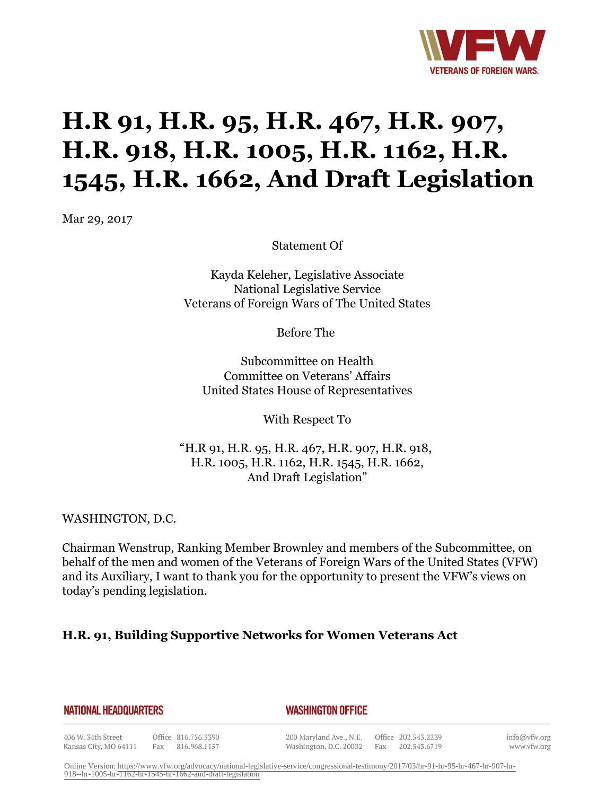

# **H.R 91, H.R. 95, H.R. 467, H.R. 907, H.R. 918, H.R. 1005, H.R. 1162, H.R. 1545, H.R. 1662, And Draft Legislation**

Mar 29, 2017

Statement Of

Kayda Keleher, Legislative Associate National Legislative Service Veterans of Foreign Wars of The United States

Before The

Subcommittee on Health Committee on Veterans' Affairs United States House of Representatives

With Respect To

"H.R 91, H.R. 95, H.R. 467, H.R. 907, H.R. 918, H.R. 1005, H.R. 1162, H.R. 1545, H.R. 1662, And Draft Legislation"

WASHINGTON, D.C.

Chairman Wenstrup, Ranking Member Brownley and members of the Subcommittee, on behalf of the men and women of the Veterans of Foreign Wars of the United States (VFW) and its Auxiliary, I want to thank you for the opportunity to present the VFW's views on today's pending legislation.

#### **H.R. 91, Building Supportive Networks for Women Veterans Act**

|  |  |  |  | <b>NATIONAL HEADQUARTERS</b> |
|--|--|--|--|------------------------------|
|--|--|--|--|------------------------------|

#### *WASHINGTON OFFICE*

406 W. 34th Street Kansas City, MO 64111

Office 816.756.3390 Fax 816.968.1157

200 Maryland Ave., N.E. Washington, D.C. 20002

Office 202.543.2239 Fax 202.543.6719 info@vfw.org www.vfw.org

Online Version: [https://www.vfw.org/advocacy/national-legislative-service/congressional-testimony/2017/03/hr-91-hr-95-hr-467-hr-907-hr-](https://www.vfw.org/advocacy/national-legislative-service/congressional-testimony/2017/03/hr-91-hr-95-hr-467-hr-907-hr-918--hr-1005-hr-1162-hr-1545-hr-1662-and-draft-legislation)[918--hr-1005-hr-1162-hr-1545-hr-1662-and-draft-legislation](https://www.vfw.org/advocacy/national-legislative-service/congressional-testimony/2017/03/hr-91-hr-95-hr-467-hr-907-hr-918--hr-1005-hr-1162-hr-1545-hr-1662-and-draft-legislation)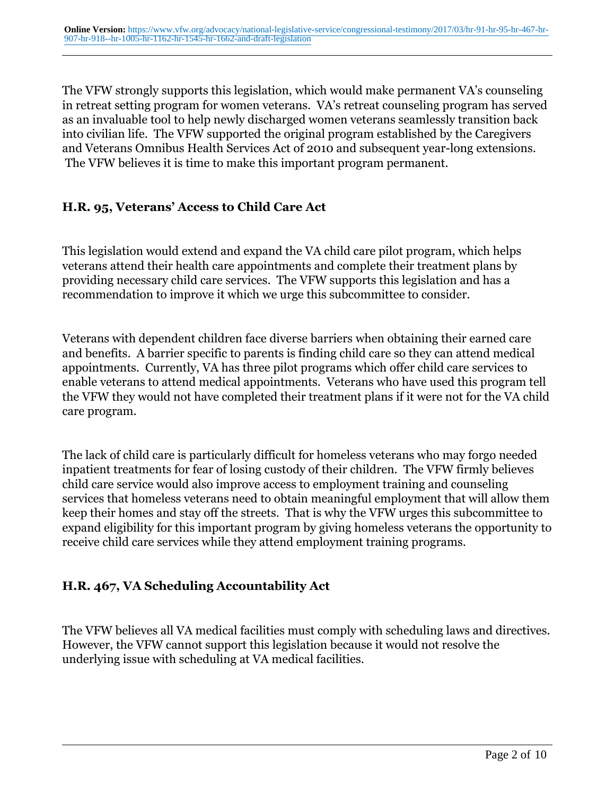The VFW strongly supports this legislation, which would make permanent VA's counseling in retreat setting program for women veterans. VA's retreat counseling program has served as an invaluable tool to help newly discharged women veterans seamlessly transition back into civilian life. The VFW supported the original program established by the Caregivers and Veterans Omnibus Health Services Act of 2010 and subsequent year-long extensions. The VFW believes it is time to make this important program permanent.

### **H.R. 95, Veterans' Access to Child Care Act**

This legislation would extend and expand the VA child care pilot program, which helps veterans attend their health care appointments and complete their treatment plans by providing necessary child care services. The VFW supports this legislation and has a recommendation to improve it which we urge this subcommittee to consider.

Veterans with dependent children face diverse barriers when obtaining their earned care and benefits. A barrier specific to parents is finding child care so they can attend medical appointments. Currently, VA has three pilot programs which offer child care services to enable veterans to attend medical appointments. Veterans who have used this program tell the VFW they would not have completed their treatment plans if it were not for the VA child care program.

The lack of child care is particularly difficult for homeless veterans who may forgo needed inpatient treatments for fear of losing custody of their children. The VFW firmly believes child care service would also improve access to employment training and counseling services that homeless veterans need to obtain meaningful employment that will allow them keep their homes and stay off the streets. That is why the VFW urges this subcommittee to expand eligibility for this important program by giving homeless veterans the opportunity to receive child care services while they attend employment training programs.

#### **H.R. 467, VA Scheduling Accountability Act**

The VFW believes all VA medical facilities must comply with scheduling laws and directives. However, the VFW cannot support this legislation because it would not resolve the underlying issue with scheduling at VA medical facilities.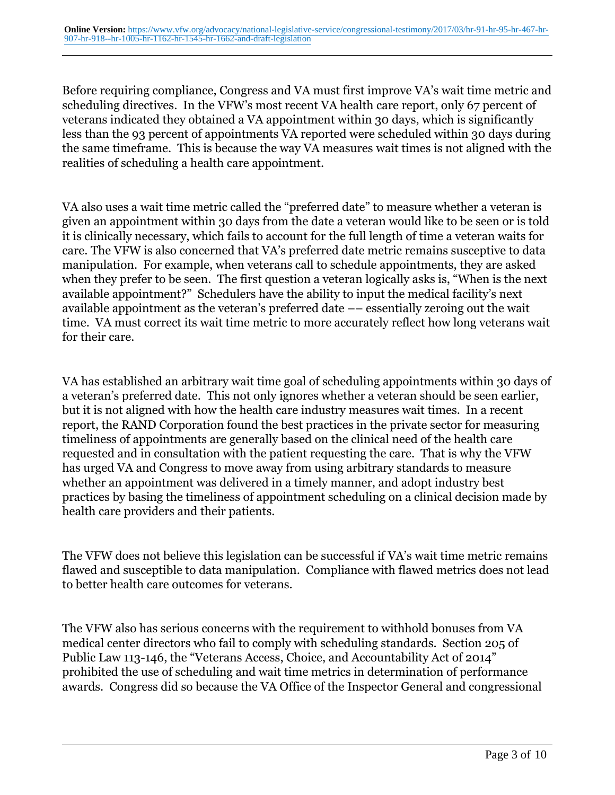Before requiring compliance, Congress and VA must first improve VA's wait time metric and scheduling directives. In the VFW's most recent VA health care report, only 67 percent of veterans indicated they obtained a VA appointment within 30 days, which is significantly less than the 93 percent of appointments VA reported were scheduled within 30 days during the same timeframe. This is because the way VA measures wait times is not aligned with the realities of scheduling a health care appointment.

VA also uses a wait time metric called the "preferred date" to measure whether a veteran is given an appointment within 30 days from the date a veteran would like to be seen or is told it is clinically necessary, which fails to account for the full length of time a veteran waits for care. The VFW is also concerned that VA's preferred date metric remains susceptive to data manipulation. For example, when veterans call to schedule appointments, they are asked when they prefer to be seen. The first question a veteran logically asks is, "When is the next available appointment?" Schedulers have the ability to input the medical facility's next available appointment as the veteran's preferred date –– essentially zeroing out the wait time. VA must correct its wait time metric to more accurately reflect how long veterans wait for their care.

VA has established an arbitrary wait time goal of scheduling appointments within 30 days of a veteran's preferred date. This not only ignores whether a veteran should be seen earlier, but it is not aligned with how the health care industry measures wait times. In a recent report, the RAND Corporation found the best practices in the private sector for measuring timeliness of appointments are generally based on the clinical need of the health care requested and in consultation with the patient requesting the care. That is why the VFW has urged VA and Congress to move away from using arbitrary standards to measure whether an appointment was delivered in a timely manner, and adopt industry best practices by basing the timeliness of appointment scheduling on a clinical decision made by health care providers and their patients.

The VFW does not believe this legislation can be successful if VA's wait time metric remains flawed and susceptible to data manipulation. Compliance with flawed metrics does not lead to better health care outcomes for veterans.

The VFW also has serious concerns with the requirement to withhold bonuses from VA medical center directors who fail to comply with scheduling standards. Section 205 of Public Law 113-146, the "Veterans Access, Choice, and Accountability Act of 2014" prohibited the use of scheduling and wait time metrics in determination of performance awards. Congress did so because the VA Office of the Inspector General and congressional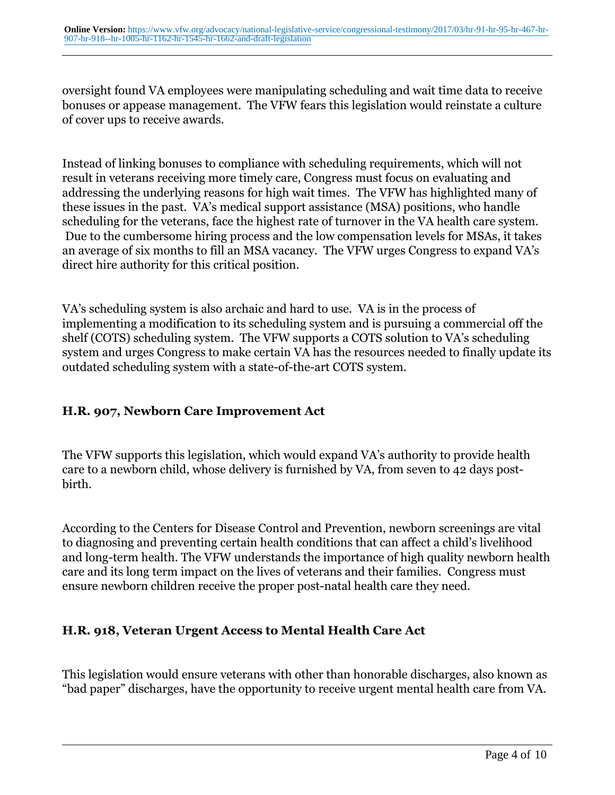oversight found VA employees were manipulating scheduling and wait time data to receive bonuses or appease management. The VFW fears this legislation would reinstate a culture of cover ups to receive awards.

Instead of linking bonuses to compliance with scheduling requirements, which will not result in veterans receiving more timely care, Congress must focus on evaluating and addressing the underlying reasons for high wait times. The VFW has highlighted many of these issues in the past. VA's medical support assistance (MSA) positions, who handle scheduling for the veterans, face the highest rate of turnover in the VA health care system. Due to the cumbersome hiring process and the low compensation levels for MSAs, it takes an average of six months to fill an MSA vacancy. The VFW urges Congress to expand VA's direct hire authority for this critical position.

VA's scheduling system is also archaic and hard to use. VA is in the process of implementing a modification to its scheduling system and is pursuing a commercial off the shelf (COTS) scheduling system. The VFW supports a COTS solution to VA's scheduling system and urges Congress to make certain VA has the resources needed to finally update its outdated scheduling system with a state-of-the-art COTS system.

### **H.R. 907, Newborn Care Improvement Act**

The VFW supports this legislation, which would expand VA's authority to provide health care to a newborn child, whose delivery is furnished by VA, from seven to 42 days postbirth.

According to the Centers for Disease Control and Prevention, newborn screenings are vital to diagnosing and preventing certain health conditions that can affect a child's livelihood and long-term health. The VFW understands the importance of high quality newborn health care and its long term impact on the lives of veterans and their families. Congress must ensure newborn children receive the proper post-natal health care they need.

### **H.R. 918, Veteran Urgent Access to Mental Health Care Act**

This legislation would ensure veterans with other than honorable discharges, also known as "bad paper" discharges, have the opportunity to receive urgent mental health care from VA.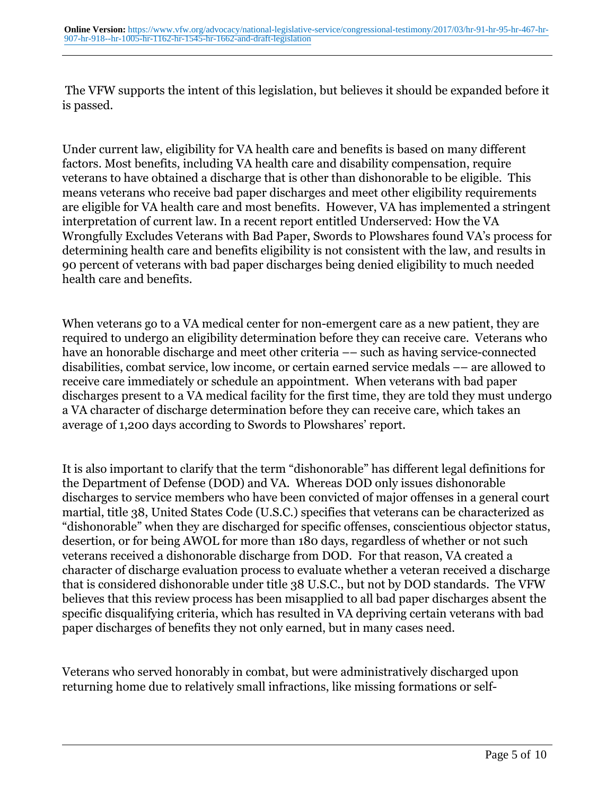The VFW supports the intent of this legislation, but believes it should be expanded before it is passed.

Under current law, eligibility for VA health care and benefits is based on many different factors. Most benefits, including VA health care and disability compensation, require veterans to have obtained a discharge that is other than dishonorable to be eligible. This means veterans who receive bad paper discharges and meet other eligibility requirements are eligible for VA health care and most benefits. However, VA has implemented a stringent interpretation of current law. In a recent report entitled Underserved: How the VA Wrongfully Excludes Veterans with Bad Paper, Swords to Plowshares found VA's process for determining health care and benefits eligibility is not consistent with the law, and results in 90 percent of veterans with bad paper discharges being denied eligibility to much needed health care and benefits.

When veterans go to a VA medical center for non-emergent care as a new patient, they are required to undergo an eligibility determination before they can receive care. Veterans who have an honorable discharge and meet other criteria –– such as having service-connected disabilities, combat service, low income, or certain earned service medals –– are allowed to receive care immediately or schedule an appointment. When veterans with bad paper discharges present to a VA medical facility for the first time, they are told they must undergo a VA character of discharge determination before they can receive care, which takes an average of 1,200 days according to Swords to Plowshares' report.

It is also important to clarify that the term "dishonorable" has different legal definitions for the Department of Defense (DOD) and VA. Whereas DOD only issues dishonorable discharges to service members who have been convicted of major offenses in a general court martial, title 38, United States Code (U.S.C.) specifies that veterans can be characterized as "dishonorable" when they are discharged for specific offenses, conscientious objector status, desertion, or for being AWOL for more than 180 days, regardless of whether or not such veterans received a dishonorable discharge from DOD. For that reason, VA created a character of discharge evaluation process to evaluate whether a veteran received a discharge that is considered dishonorable under title 38 U.S.C., but not by DOD standards. The VFW believes that this review process has been misapplied to all bad paper discharges absent the specific disqualifying criteria, which has resulted in VA depriving certain veterans with bad paper discharges of benefits they not only earned, but in many cases need.

Veterans who served honorably in combat, but were administratively discharged upon returning home due to relatively small infractions, like missing formations or self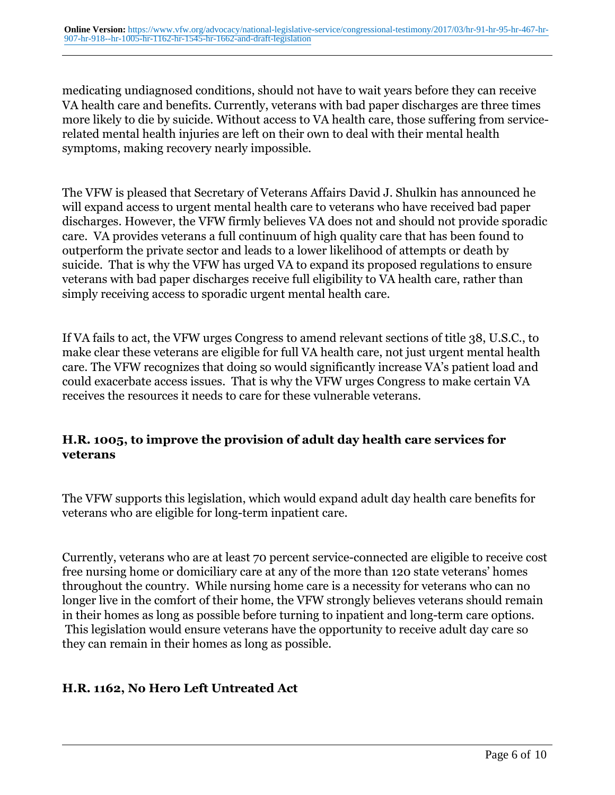medicating undiagnosed conditions, should not have to wait years before they can receive VA health care and benefits. Currently, veterans with bad paper discharges are three times more likely to die by suicide. Without access to VA health care, those suffering from servicerelated mental health injuries are left on their own to deal with their mental health symptoms, making recovery nearly impossible.

The VFW is pleased that Secretary of Veterans Affairs David J. Shulkin has announced he will expand access to urgent mental health care to veterans who have received bad paper discharges. However, the VFW firmly believes VA does not and should not provide sporadic care. VA provides veterans a full continuum of high quality care that has been found to outperform the private sector and leads to a lower likelihood of attempts or death by suicide. That is why the VFW has urged VA to expand its proposed regulations to ensure veterans with bad paper discharges receive full eligibility to VA health care, rather than simply receiving access to sporadic urgent mental health care.

If VA fails to act, the VFW urges Congress to amend relevant sections of title 38, U.S.C., to make clear these veterans are eligible for full VA health care, not just urgent mental health care. The VFW recognizes that doing so would significantly increase VA's patient load and could exacerbate access issues. That is why the VFW urges Congress to make certain VA receives the resources it needs to care for these vulnerable veterans.

### **H.R. 1005, to improve the provision of adult day health care services for veterans**

The VFW supports this legislation, which would expand adult day health care benefits for veterans who are eligible for long-term inpatient care.

Currently, veterans who are at least 70 percent service-connected are eligible to receive cost free nursing home or domiciliary care at any of the more than 120 state veterans' homes throughout the country. While nursing home care is a necessity for veterans who can no longer live in the comfort of their home, the VFW strongly believes veterans should remain in their homes as long as possible before turning to inpatient and long-term care options. This legislation would ensure veterans have the opportunity to receive adult day care so they can remain in their homes as long as possible.

### **H.R. 1162, No Hero Left Untreated Act**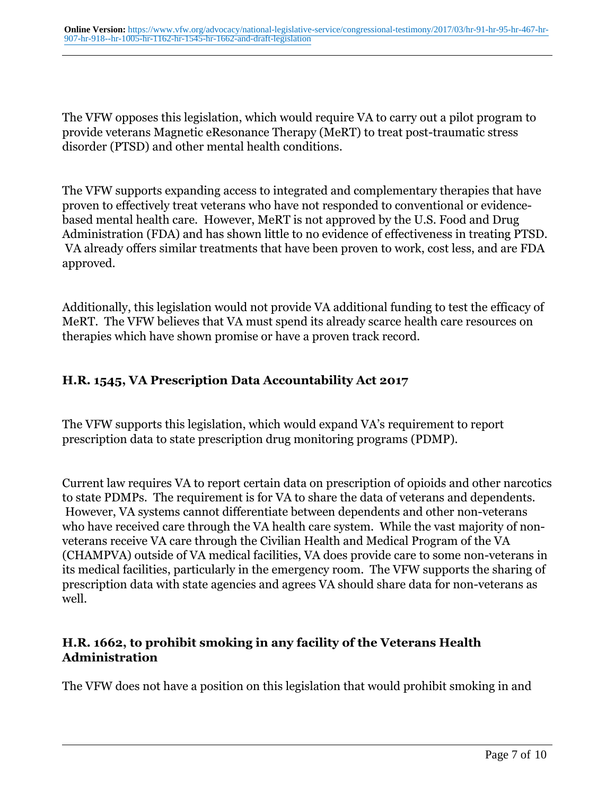The VFW opposes this legislation, which would require VA to carry out a pilot program to provide veterans Magnetic eResonance Therapy (MeRT) to treat post-traumatic stress disorder (PTSD) and other mental health conditions.

The VFW supports expanding access to integrated and complementary therapies that have proven to effectively treat veterans who have not responded to conventional or evidencebased mental health care. However, MeRT is not approved by the U.S. Food and Drug Administration (FDA) and has shown little to no evidence of effectiveness in treating PTSD. VA already offers similar treatments that have been proven to work, cost less, and are FDA approved.

Additionally, this legislation would not provide VA additional funding to test the efficacy of MeRT. The VFW believes that VA must spend its already scarce health care resources on therapies which have shown promise or have a proven track record.

# **H.R. 1545, VA Prescription Data Accountability Act 2017**

The VFW supports this legislation, which would expand VA's requirement to report prescription data to state prescription drug monitoring programs (PDMP).

Current law requires VA to report certain data on prescription of opioids and other narcotics to state PDMPs. The requirement is for VA to share the data of veterans and dependents. However, VA systems cannot differentiate between dependents and other non-veterans who have received care through the VA health care system. While the vast majority of nonveterans receive VA care through the Civilian Health and Medical Program of the VA (CHAMPVA) outside of VA medical facilities, VA does provide care to some non-veterans in its medical facilities, particularly in the emergency room. The VFW supports the sharing of prescription data with state agencies and agrees VA should share data for non-veterans as well.

# **H.R. 1662, to prohibit smoking in any facility of the Veterans Health Administration**

The VFW does not have a position on this legislation that would prohibit smoking in and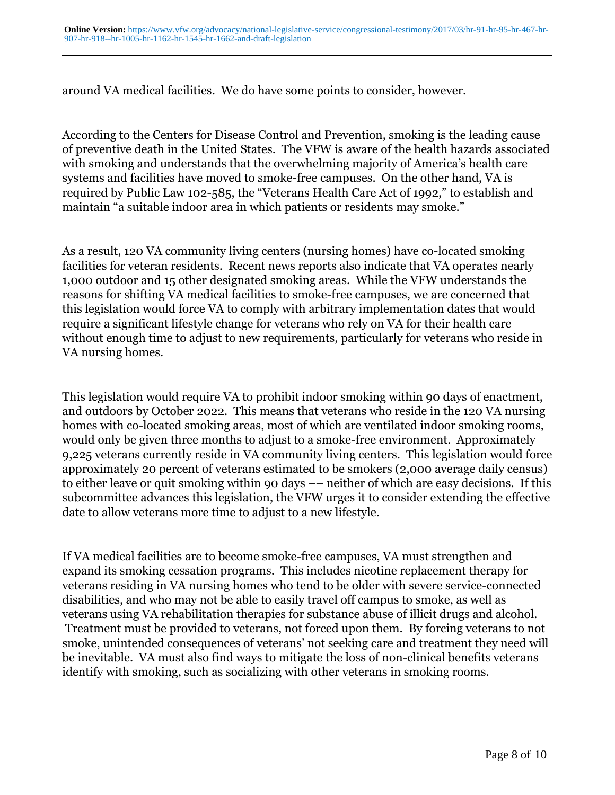around VA medical facilities. We do have some points to consider, however.

According to the Centers for Disease Control and Prevention, smoking is the leading cause of preventive death in the United States. The VFW is aware of the health hazards associated with smoking and understands that the overwhelming majority of America's health care systems and facilities have moved to smoke-free campuses. On the other hand, VA is required by Public Law 102-585, the "Veterans Health Care Act of 1992," to establish and maintain "a suitable indoor area in which patients or residents may smoke."

As a result, 120 VA community living centers (nursing homes) have co-located smoking facilities for veteran residents. Recent news reports also indicate that VA operates nearly 1,000 outdoor and 15 other designated smoking areas. While the VFW understands the reasons for shifting VA medical facilities to smoke-free campuses, we are concerned that this legislation would force VA to comply with arbitrary implementation dates that would require a significant lifestyle change for veterans who rely on VA for their health care without enough time to adjust to new requirements, particularly for veterans who reside in VA nursing homes.

This legislation would require VA to prohibit indoor smoking within 90 days of enactment, and outdoors by October 2022. This means that veterans who reside in the 120 VA nursing homes with co-located smoking areas, most of which are ventilated indoor smoking rooms, would only be given three months to adjust to a smoke-free environment. Approximately 9,225 veterans currently reside in VA community living centers. This legislation would force approximately 20 percent of veterans estimated to be smokers (2,000 average daily census) to either leave or quit smoking within 90 days –– neither of which are easy decisions. If this subcommittee advances this legislation, the VFW urges it to consider extending the effective date to allow veterans more time to adjust to a new lifestyle.

If VA medical facilities are to become smoke-free campuses, VA must strengthen and expand its smoking cessation programs. This includes nicotine replacement therapy for veterans residing in VA nursing homes who tend to be older with severe service-connected disabilities, and who may not be able to easily travel off campus to smoke, as well as veterans using VA rehabilitation therapies for substance abuse of illicit drugs and alcohol. Treatment must be provided to veterans, not forced upon them. By forcing veterans to not smoke, unintended consequences of veterans' not seeking care and treatment they need will be inevitable. VA must also find ways to mitigate the loss of non-clinical benefits veterans identify with smoking, such as socializing with other veterans in smoking rooms.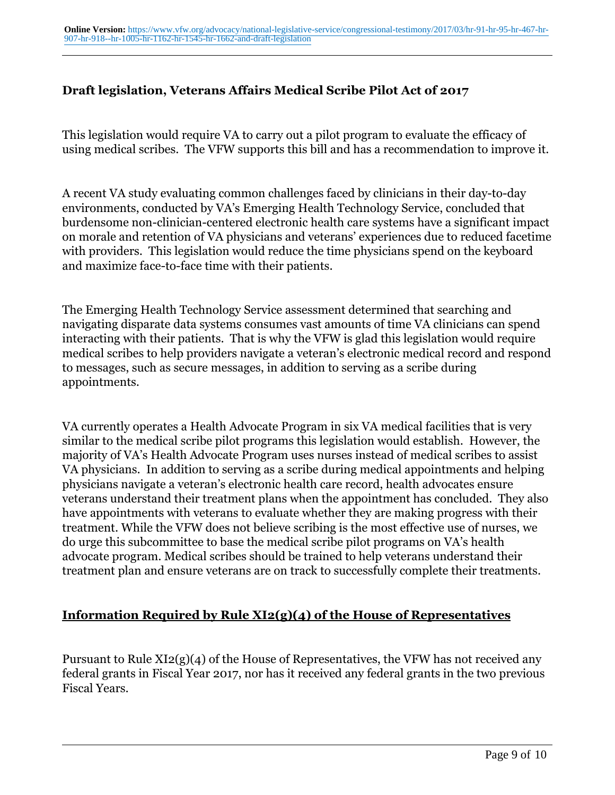#### **Draft legislation, Veterans Affairs Medical Scribe Pilot Act of 2017**

This legislation would require VA to carry out a pilot program to evaluate the efficacy of using medical scribes. The VFW supports this bill and has a recommendation to improve it.

A recent VA study evaluating common challenges faced by clinicians in their day-to-day environments, conducted by VA's Emerging Health Technology Service, concluded that burdensome non-clinician-centered electronic health care systems have a significant impact on morale and retention of VA physicians and veterans' experiences due to reduced facetime with providers. This legislation would reduce the time physicians spend on the keyboard and maximize face-to-face time with their patients.

The Emerging Health Technology Service assessment determined that searching and navigating disparate data systems consumes vast amounts of time VA clinicians can spend interacting with their patients. That is why the VFW is glad this legislation would require medical scribes to help providers navigate a veteran's electronic medical record and respond to messages, such as secure messages, in addition to serving as a scribe during appointments.

VA currently operates a Health Advocate Program in six VA medical facilities that is very similar to the medical scribe pilot programs this legislation would establish. However, the majority of VA's Health Advocate Program uses nurses instead of medical scribes to assist VA physicians. In addition to serving as a scribe during medical appointments and helping physicians navigate a veteran's electronic health care record, health advocates ensure veterans understand their treatment plans when the appointment has concluded. They also have appointments with veterans to evaluate whether they are making progress with their treatment. While the VFW does not believe scribing is the most effective use of nurses, we do urge this subcommittee to base the medical scribe pilot programs on VA's health advocate program. Medical scribes should be trained to help veterans understand their treatment plan and ensure veterans are on track to successfully complete their treatments.

### **Information Required by Rule XI2(g)(4) of the House of Representatives**

Pursuant to Rule XI2(g)(4) of the House of Representatives, the VFW has not received any federal grants in Fiscal Year 2017, nor has it received any federal grants in the two previous Fiscal Years.